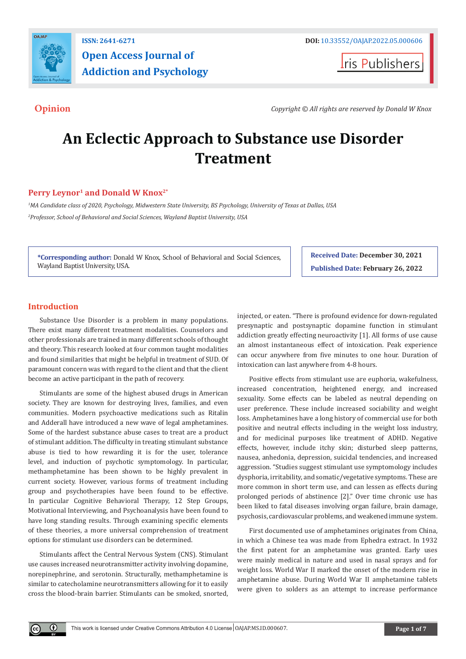

## **ISSN: 2641-6271 DOI:** [10.33552/OAJAP.2022.05.000606](http://dx.doi.org/10.33552/OAJAP.2022.05.000606) **Open Access Journal of Addiction and Psychology**

**I**ris Publishers

**Opinion** *Copyright © All rights are reserved by Donald W Knox*

# **An Eclectic Approach to Substance use Disorder Treatment**

#### Perry Leynor<sup>1</sup> and Donald W Knox<sup>2\*</sup>

*1 MA Candidate class of 2020, Psychology, Midwestern State University, BS Psychology, University of Texas at Dallas, USA 2 Professor, School of Behavioral and Social Sciences, Wayland Baptist University, USA*

**\*Corresponding author:** Donald W Knox, School of Behavioral and Social Sciences, Wayland Baptist University, USA.

**Received Date: December 30, 2021 Published Date: February 26, 2022**

### **Introduction**

 $^{\circ}$ 

Substance Use Disorder is a problem in many populations. There exist many different treatment modalities. Counselors and other professionals are trained in many different schools of thought and theory. This research looked at four common taught modalities and found similarities that might be helpful in treatment of SUD. Of paramount concern was with regard to the client and that the client become an active participant in the path of recovery.

Stimulants are some of the highest abused drugs in American society. They are known for destroying lives, families, and even communities. Modern psychoactive medications such as Ritalin and Adderall have introduced a new wave of legal amphetamines. Some of the hardest substance abuse cases to treat are a product of stimulant addition. The difficulty in treating stimulant substance abuse is tied to how rewarding it is for the user, tolerance level, and induction of psychotic symptomology. In particular, methamphetamine has been shown to be highly prevalent in current society. However, various forms of treatment including group and psychotherapies have been found to be effective. In particular Cognitive Behavioral Therapy, 12 Step Groups, Motivational Interviewing, and Psychoanalysis have been found to have long standing results. Through examining specific elements of these theories, a more universal comprehension of treatment options for stimulant use disorders can be determined.

Stimulants affect the Central Nervous System (CNS). Stimulant use causes increased neurotransmitter activity involving dopamine, norepinephrine, and serotonin. Structurally, methamphetamine is similar to catecholamine neurotransmitters allowing for it to easily cross the blood-brain barrier. Stimulants can be smoked, snorted,

injected, or eaten. "There is profound evidence for down-regulated presynaptic and postsynaptic dopamine function in stimulant addiction greatly effecting neuroactivity [1]. All forms of use cause an almost instantaneous effect of intoxication. Peak experience can occur anywhere from five minutes to one hour. Duration of intoxication can last anywhere from 4-8 hours.

Positive effects from stimulant use are euphoria, wakefulness, increased concentration, heightened energy, and increased sexuality. Some effects can be labeled as neutral depending on user preference. These include increased sociability and weight loss. Amphetamines have a long history of commercial use for both positive and neutral effects including in the weight loss industry, and for medicinal purposes like treatment of ADHD. Negative effects, however, include itchy skin; disturbed sleep patterns, nausea, anhedonia, depression, suicidal tendencies, and increased aggression. "Studies suggest stimulant use symptomology includes dysphoria, irritability, and somatic/vegetative symptoms. These are more common in short term use, and can lessen as effects during prolonged periods of abstinence [2]." Over time chronic use has been liked to fatal diseases involving organ failure, brain damage, psychosis, cardiovascular problems, and weakened immune system.

First documented use of amphetamines originates from China, in which a Chinese tea was made from Ephedra extract. In 1932 the first patent for an amphetamine was granted. Early uses were mainly medical in nature and used in nasal sprays and for weight loss. World War II marked the onset of the modern rise in amphetamine abuse. During World War II amphetamine tablets were given to solders as an attempt to increase performance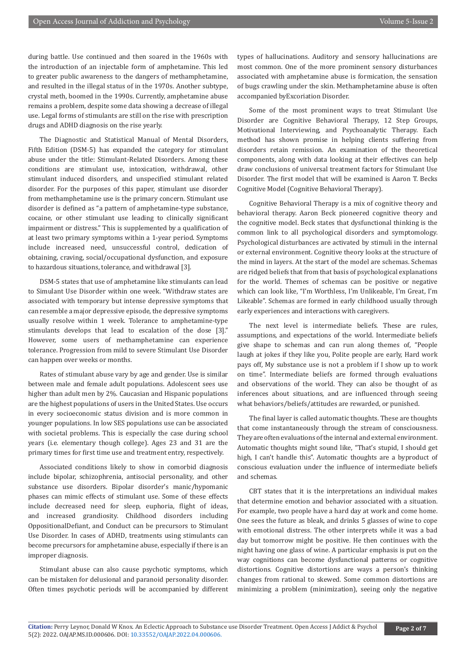during battle. Use continued and then soared in the 1960s with the introduction of an injectable form of amphetamine. This led to greater public awareness to the dangers of methamphetamine, and resulted in the illegal status of in the 1970s. Another subtype, crystal meth, boomed in the 1990s. Currently, amphetamine abuse remains a problem, despite some data showing a decrease of illegal use. Legal forms of stimulants are still on the rise with prescription drugs and ADHD diagnosis on the rise yearly.

The Diagnostic and Statistical Manual of Mental Disorders, Fifth Edition (DSM-5) has expanded the category for stimulant abuse under the title: Stimulant-Related Disorders. Among these conditions are stimulant use, intoxication, withdrawal, other stimulant induced disorders, and unspecified stimulant related disorder. For the purposes of this paper, stimulant use disorder from methamphetamine use is the primary concern. Stimulant use disorder is defined as "a pattern of amphetamine-type substance, cocaine, or other stimulant use leading to clinically significant impairment or distress." This is supplemented by a qualification of at least two primary symptoms within a 1-year period. Symptoms include increased need, unsuccessful control, dedication of obtaining, craving, social/occupational dysfunction, and exposure to hazardous situations, tolerance, and withdrawal [3].

DSM-5 states that use of amphetamine like stimulants can lead to Simulant Use Disorder within one week. "Withdraw states are associated with temporary but intense depressive symptoms that can resemble a major depressive episode, the depressive symptoms usually resolve within 1 week. Tolerance to amphetamine-type stimulants develops that lead to escalation of the dose [3]." However, some users of methamphetamine can experience tolerance. Progression from mild to severe Stimulant Use Disorder can happen over weeks or months.

Rates of stimulant abuse vary by age and gender. Use is similar between male and female adult populations. Adolescent sees use higher than adult men by 2%. Caucasian and Hispanic populations are the highest populations of users in the United States. Use occurs in every socioeconomic status division and is more common in younger populations. In low SES populations use can be associated with societal problems. This is especially the case during school years (i.e. elementary though college). Ages 23 and 31 are the primary times for first time use and treatment entry, respectively.

Associated conditions likely to show in comorbid diagnosis include bipolar, schizophrenia, antisocial personality, and other substance use disorders. Bipolar disorder's manic/hypomanic phases can mimic effects of stimulant use. Some of these effects include decreased need for sleep, euphoria, flight of ideas, and increased grandiosity. Childhood disorders including OppositionalDefiant, and Conduct can be precursors to Stimulant Use Disorder. In cases of ADHD, treatments using stimulants can become precursors for amphetamine abuse, especially if there is an improper diagnosis.

Stimulant abuse can also cause psychotic symptoms, which can be mistaken for delusional and paranoid personality disorder. Often times psychotic periods will be accompanied by different types of hallucinations. Auditory and sensory hallucinations are most common. One of the more prominent sensory disturbances associated with amphetamine abuse is formication, the sensation of bugs crawling under the skin. Methamphetamine abuse is often accompanied byExcoriation Disorder.

Some of the most prominent ways to treat Stimulant Use Disorder are Cognitive Behavioral Therapy, 12 Step Groups, Motivational Interviewing, and Psychoanalytic Therapy. Each method has shown promise in helping clients suffering from disorders retain remission. An examination of the theoretical components, along with data looking at their effectives can help draw conclusions of universal treatment factors for Stimulant Use Disorder. The first model that will be examined is Aaron T. Becks Cognitive Model (Cognitive Behavioral Therapy).

Cognitive Behavioral Therapy is a mix of cognitive theory and behavioral therapy. Aaron Beck pioneered cognitive theory and the cognitive model. Beck states that dysfunctional thinking is the common link to all psychological disorders and symptomology. Psychological disturbances are activated by stimuli in the internal or external environment. Cognitive theory looks at the structure of the mind in layers. At the start of the model are schemas. Schemas are ridged beliefs that from that basis of psychological explanations for the world. Themes of schemas can be positive or negative which can look like, "I'm Worthless, I'm Unlikeable, I'm Great, I'm Likeable". Schemas are formed in early childhood usually through early experiences and interactions with caregivers.

The next level is intermediate beliefs. These are rules, assumptions, and expectations of the world. Intermediate beliefs give shape to schemas and can run along themes of, "People laugh at jokes if they like you, Polite people are early, Hard work pays off, My substance use is not a problem if I show up to work on time". Intermediate beliefs are formed through evaluations and observations of the world. They can also be thought of as inferences about situations, and are influenced through seeing what behaviors/beliefs/attitudes are rewarded, or punished.

The final layer is called automatic thoughts. These are thoughts that come instantaneously through the stream of consciousness. They are often evaluations of the internal and external environment. Automatic thoughts might sound like, "That's stupid, I should get high, I can't handle this". Automatic thoughts are a byproduct of conscious evaluation under the influence of intermediate beliefs and schemas.

CBT states that it is the interpretations an individual makes that determine emotion and behavior associated with a situation. For example, two people have a hard day at work and come home. One sees the future as bleak, and drinks 5 glasses of wine to cope with emotional distress. The other interprets while it was a bad day but tomorrow might be positive. He then continues with the night having one glass of wine. A particular emphasis is put on the way cognitions can become dysfunctional patterns or cognitive distortions. Cognitive distortions are ways a person's thinking changes from rational to skewed. Some common distortions are minimizing a problem (minimization), seeing only the negative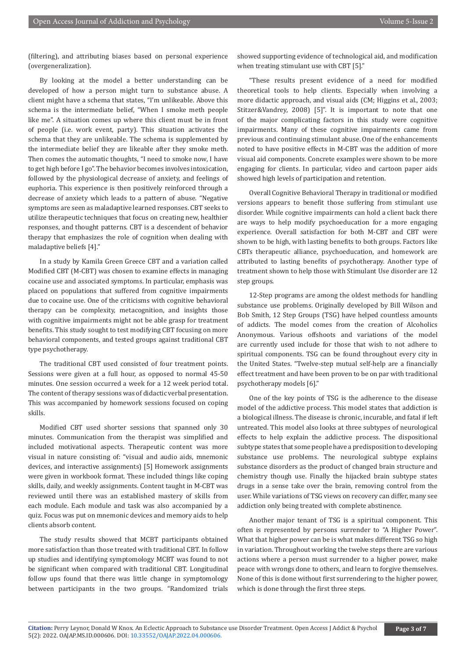(filtering), and attributing biases based on personal experience (overgeneralization).

By looking at the model a better understanding can be developed of how a person might turn to substance abuse. A client might have a schema that states, "I'm unlikeable. Above this schema is the intermediate belief, "When I smoke meth people like me". A situation comes up where this client must be in front of people (i.e. work event, party). This situation activates the schema that they are unlikeable. The schema is supplemented by the intermediate belief they are likeable after they smoke meth. Then comes the automatic thoughts, "I need to smoke now, I have to get high before I go". The behavior becomes involves intoxication, followed by the physiological decrease of anxiety, and feelings of euphoria. This experience is then positively reinforced through a decrease of anxiety which leads to a pattern of abuse. "Negative symptoms are seen as maladaptive learned responses. CBT seeks to utilize therapeutic techniques that focus on creating new, healthier responses, and thought patterns. CBT is a descendent of behavior therapy that emphasizes the role of cognition when dealing with maladaptive beliefs [4]."

In a study by Kamila Green Greece CBT and a variation called Modified CBT (M-CBT) was chosen to examine effects in managing cocaine use and associated symptoms. In particular, emphasis was placed on populations that suffered from cognitive impairments due to cocaine use. One of the criticisms with cognitive behavioral therapy can be complexity, metacognition, and insights those with cognitive impairments might not be able grasp for treatment benefits. This study sought to test modifying CBT focusing on more behavioral components, and tested groups against traditional CBT type psychotherapy.

The traditional CBT used consisted of four treatment points. Sessions were given at a full hour, as opposed to normal 45-50 minutes. One session occurred a week for a 12 week period total. The content of therapy sessions was of didactic verbal presentation. This was accompanied by homework sessions focused on coping skills.

Modified CBT used shorter sessions that spanned only 30 minutes. Communication from the therapist was simplified and included motivational aspects. Therapeutic content was more visual in nature consisting of: "visual and audio aids, mnemonic devices, and interactive assignments) [5] Homework assignments were given in workbook format. These included things like coping skills, daily, and weekly assignments. Content taught in M-CBT was reviewed until there was an established mastery of skills from each module. Each module and task was also accompanied by a quiz. Focus was put on mnemonic devices and memory aids to help clients absorb content.

The study results showed that MCBT participants obtained more satisfaction than those treated with traditional CBT. In follow up studies and identifying symptomology MCBT was found to not be significant when compared with traditional CBT. Longitudinal follow ups found that there was little change in symptomology between participants in the two groups. "Randomized trials showed supporting evidence of technological aid, and modification when treating stimulant use with CBT [5]."

"These results present evidence of a need for modified theoretical tools to help clients. Especially when involving a more didactic approach, and visual aids (CM; Higgins et al., 2003; Stitzer&Vandrey, 2008) [5]". It is important to note that one of the major complicating factors in this study were cognitive impairments. Many of these cognitive impairments came from previous and continuing stimulant abuse. One of the enhancements noted to have positive effects in M-CBT was the addition of more visual aid components. Concrete examples were shown to be more engaging for clients. In particular, video and cartoon paper aids showed high levels of participation and retention.

Overall Cognitive Behavioral Therapy in traditional or modified versions appears to benefit those suffering from stimulant use disorder. While cognitive impairments can hold a client back there are ways to help modify psychoeducation for a more engaging experience. Overall satisfaction for both M-CBT and CBT were shown to be high, with lasting benefits to both groups. Factors like CBTs therapeutic alliance, psychoeducation, and homework are attributed to lasting benefits of psychotherapy. Another type of treatment shown to help those with Stimulant Use disorder are 12 step groups.

12-Step programs are among the oldest methods for handling substance use problems. Originally developed by Bill Wilson and Bob Smith, 12 Step Groups (TSG) have helped countless amounts of addicts. The model comes from the creation of Alcoholics Anonymous. Various offshoots and variations of the model are currently used include for those that wish to not adhere to spiritual components. TSG can be found throughout every city in the United States. "Twelve-step mutual self-help are a financially effect treatment and have been proven to be on par with traditional psychotherapy models [6]."

One of the key points of TSG is the adherence to the disease model of the addictive process. This model states that addiction is a biological illness. The disease is chronic, incurable, and fatal if left untreated. This model also looks at three subtypes of neurological effects to help explain the addictive process. The dispositional subtype states that some people have a predisposition to developing substance use problems. The neurological subtype explains substance disorders as the product of changed brain structure and chemistry though use. Finally the hijacked brain subtype states drugs in a sense take over the brain, removing control from the user. While variations of TSG views on recovery can differ, many see addiction only being treated with complete abstinence.

Another major tenant of TSG is a spiritual component. This often is represented by persons surrender to "A Higher Power". What that higher power can be is what makes different TSG so high in variation. Throughout working the twelve steps there are various actions where a person must surrender to a higher power, make peace with wrongs done to others, and learn to forgive themselves. None of this is done without first surrendering to the higher power, which is done through the first three steps.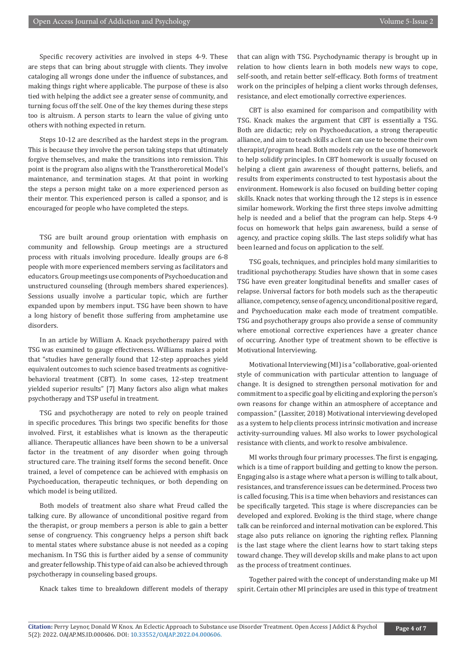Specific recovery activities are involved in steps 4-9. These are steps that can bring about struggle with clients. They involve cataloging all wrongs done under the influence of substances, and making things right where applicable. The purpose of these is also tied with helping the addict see a greater sense of community, and turning focus off the self. One of the key themes during these steps too is altruism. A person starts to learn the value of giving unto others with nothing expected in return.

Steps 10-12 are described as the hardest steps in the program. This is because they involve the person taking steps that ultimately forgive themselves, and make the transitions into remission. This point is the program also aligns with the Transtheroretical Model's maintenance, and termination stages. At that point in working the steps a person might take on a more experienced person as their mentor. This experienced person is called a sponsor, and is encouraged for people who have completed the steps.

TSG are built around group orientation with emphasis on community and fellowship. Group meetings are a structured process with rituals involving procedure. Ideally groups are 6-8 people with more experienced members serving as facilitators and educators. Group meetings use components of Psychoeducation and unstructured counseling (through members shared experiences). Sessions usually involve a particular topic, which are further expanded upon by members input. TSG have been shown to have a long history of benefit those suffering from amphetamine use disorders.

In an article by William A. Knack psychotherapy paired with TSG was examined to gauge effectiveness. Williams makes a point that "studies have generally found that 12-step approaches yield equivalent outcomes to such science based treatments as cognitivebehavioral treatment (CBT). In some cases, 12-step treatment yielded superior results" [7] Many factors also align what makes psychotherapy and TSP useful in treatment.

TSG and psychotherapy are noted to rely on people trained in specific procedures. This brings two specific benefits for those involved. First, it establishes what is known as the therapeutic alliance. Therapeutic alliances have been shown to be a universal factor in the treatment of any disorder when going through structured care. The training itself forms the second benefit. Once trained, a level of competence can be achieved with emphasis on Psychoeducation, therapeutic techniques, or both depending on which model is being utilized.

Both models of treatment also share what Freud called the talking cure. By allowance of unconditional positive regard from the therapist, or group members a person is able to gain a better sense of congruency. This congruency helps a person shift back to mental states where substance abuse is not needed as a coping mechanism. In TSG this is further aided by a sense of community and greater fellowship. This type of aid can also be achieved through psychotherapy in counseling based groups.

Knack takes time to breakdown different models of therapy

that can align with TSG. Psychodynamic therapy is brought up in relation to how clients learn in both models new ways to cope, self-sooth, and retain better self-efficacy. Both forms of treatment work on the principles of helping a client works through defenses, resistance, and elect emotionally corrective experiences.

CBT is also examined for comparison and compatibility with TSG. Knack makes the argument that CBT is essentially a TSG. Both are didactic; rely on Psychoeducation, a strong therapeutic alliance, and aim to teach skills a client can use to become their own therapist/program head. Both models rely on the use of homework to help solidify principles. In CBT homework is usually focused on helping a client gain awareness of thought patterns, beliefs, and results from experiments constructed to test hypostasis about the environment. Homework is also focused on building better coping skills. Knack notes that working through the 12 steps is in essence similar homework. Working the first three steps involve admitting help is needed and a belief that the program can help. Steps 4-9 focus on homework that helps gain awareness, build a sense of agency, and practice coping skills. The last steps solidify what has been learned and focus on application to the self.

TSG goals, techniques, and principles hold many similarities to traditional psychotherapy. Studies have shown that in some cases TSG have even greater longitudinal benefits and smaller cases of relapse. Universal factors for both models such as the therapeutic alliance, competency, sense of agency, unconditional positive regard, and Psychoeducation make each mode of treatment compatible. TSG and psychotherapy groups also provide a sense of community where emotional corrective experiences have a greater chance of occurring. Another type of treatment shown to be effective is Motivational Interviewing.

Motivational Interviewing (MI) is a "collaborative, goal-oriented style of communication with particular attention to language of change. It is designed to strengthen personal motivation for and commitment to a specific goal by eliciting and exploring the person's own reasons for change within an atmosphere of acceptance and compassion." (Lassiter, 2018) Motivational interviewing developed as a system to help clients process intrinsic motivation and increase activity-surrounding values. MI also works to lower psychological resistance with clients, and work to resolve ambivalence.

MI works through four primary processes. The first is engaging, which is a time of rapport building and getting to know the person. Engaging also is a stage where what a person is willing to talk about, resistances, and transference issues can be determined. Process two is called focusing. This is a time when behaviors and resistances can be specifically targeted. This stage is where discrepancies can be developed and explored. Evoking is the third stage, where change talk can be reinforced and internal motivation can be explored. This stage also puts reliance on ignoring the righting reflex. Planning is the last stage where the client learns how to start taking steps toward change. They will develop skills and make plans to act upon as the process of treatment continues.

Together paired with the concept of understanding make up MI spirit. Certain other MI principles are used in this type of treatment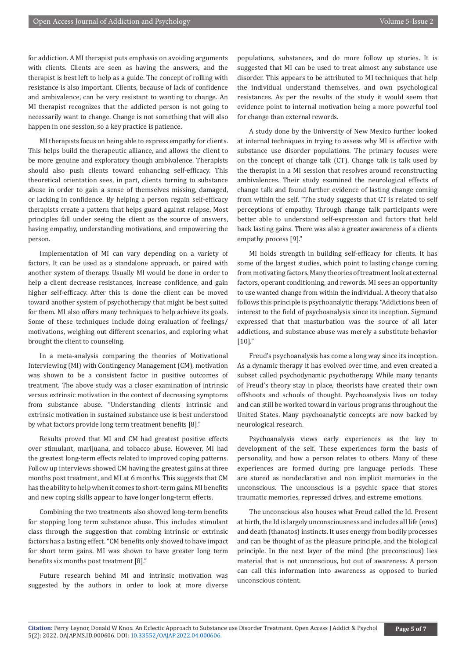for addiction. A MI therapist puts emphasis on avoiding arguments with clients. Clients are seen as having the answers, and the therapist is best left to help as a guide. The concept of rolling with resistance is also important. Clients, because of lack of confidence and ambivalence, can be very resistant to wanting to change. An MI therapist recognizes that the addicted person is not going to necessarily want to change. Change is not something that will also happen in one session, so a key practice is patience.

MI therapists focus on being able to express empathy for clients. This helps build the therapeutic alliance, and allows the client to be more genuine and exploratory though ambivalence. Therapists should also push clients toward enhancing self-efficacy. This theoretical orientation sees, in part, clients turning to substance abuse in order to gain a sense of themselves missing, damaged, or lacking in confidence. By helping a person regain self-efficacy therapists create a pattern that helps guard against relapse. Most principles fall under seeing the client as the source of answers, having empathy, understanding motivations, and empowering the person.

Implementation of MI can vary depending on a variety of factors. It can be used as a standalone approach, or paired with another system of therapy. Usually MI would be done in order to help a client decrease resistances, increase confidence, and gain higher self-efficacy. After this is done the client can be moved toward another system of psychotherapy that might be best suited for them. MI also offers many techniques to help achieve its goals. Some of these techniques include doing evaluation of feelings/ motivations, weighing out different scenarios, and exploring what brought the client to counseling.

In a meta-analysis comparing the theories of Motivational Interviewing (MI) with Contingency Management (CM), motivation was shown to be a consistent factor in positive outcomes of treatment. The above study was a closer examination of intrinsic versus extrinsic motivation in the context of decreasing symptoms from substance abuse. "Understanding clients intrinsic and extrinsic motivation in sustained substance use is best understood by what factors provide long term treatment benefits [8]."

Results proved that MI and CM had greatest positive effects over stimulant, marijuana, and tobacco abuse. However, MI had the greatest long-term effects related to improved coping patterns. Follow up interviews showed CM having the greatest gains at three months post treatment, and MI at 6 months. This suggests that CM has the ability to help when it comes to short-term gains. MI benefits and new coping skills appear to have longer long-term effects.

Combining the two treatments also showed long-term benefits for stopping long term substance abuse. This includes stimulant class through the suggestion that combing intrinsic or extrinsic factors has a lasting effect. "CM benefits only showed to have impact for short term gains. MI was shown to have greater long term benefits six months post treatment [8]."

Future research behind MI and intrinsic motivation was suggested by the authors in order to look at more diverse

populations, substances, and do more follow up stories. It is suggested that MI can be used to treat almost any substance use disorder. This appears to be attributed to MI techniques that help the individual understand themselves, and own psychological resistances. As per the results of the study it would seem that evidence point to internal motivation being a more powerful tool for change than external rewords.

A study done by the University of New Mexico further looked at internal techniques in trying to assess why MI is effective with substance use disorder populations. The primary focuses were on the concept of change talk (CT). Change talk is talk used by the therapist in a MI session that resolves around reconstructing ambivalences. Their study examined the neurological effects of change talk and found further evidence of lasting change coming from within the self. "The study suggests that CT is related to self perceptions of empathy. Through change talk participants were better able to understand self-expression and factors that held back lasting gains. There was also a greater awareness of a clients empathy process [9]."

MI holds strength in building self-efficacy for clients. It has some of the largest studies, which point to lasting change coming from motivating factors. Many theories of treatment look at external factors, operant conditioning, and rewords. MI sees an opportunity to use wanted change from within the individual. A theory that also follows this principle is psychoanalytic therapy. "Addictions been of interest to the field of psychoanalysis since its inception. Sigmund expressed that that masturbation was the source of all later addictions, and substance abuse was merely a substitute behavior  $[10]'$ 

Freud's psychoanalysis has come a long way since its inception. As a dynamic therapy it has evolved over time, and even created a subset called psychodynamic psychotherapy. While many tenants of Freud's theory stay in place, theorists have created their own offshoots and schools of thought. Psychoanalysis lives on today and can still be worked toward in various programs throughout the United States. Many psychoanalytic concepts are now backed by neurological research.

Psychoanalysis views early experiences as the key to development of the self. These experiences form the basis of personality, and how a person relates to others. Many of these experiences are formed during pre language periods. These are stored as nondeclarative and non implicit memories in the unconscious. The unconscious is a psychic space that stores traumatic memories, repressed drives, and extreme emotions.

The unconscious also houses what Freud called the Id. Present at birth, the Id is largely unconsciousness and includes all life (eros) and death (thanatos) instincts. It uses energy from bodily processes and can be thought of as the pleasure principle, and the biological principle. In the next layer of the mind (the preconscious) lies material that is not unconscious, but out of awareness. A person can call this information into awareness as opposed to buried unconscious content.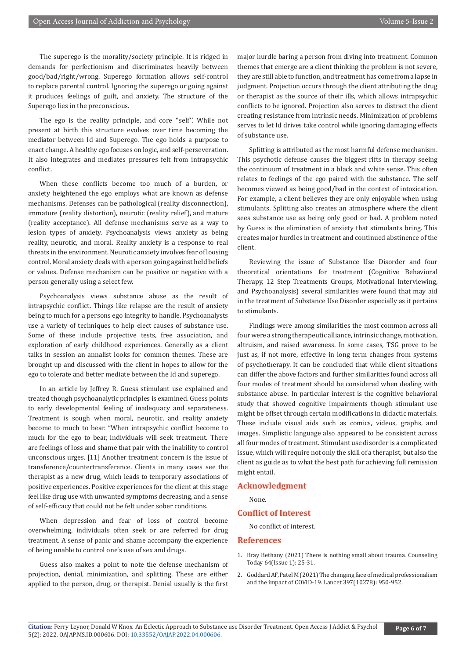The superego is the morality/society principle. It is ridged in demands for perfectionism and discriminates heavily between good/bad/right/wrong. Superego formation allows self-control to replace parental control. Ignoring the superego or going against it produces feelings of guilt, and anxiety. The structure of the Superego lies in the preconscious.

The ego is the reality principle, and core "self". While not present at birth this structure evolves over time becoming the mediator between Id and Superego. The ego holds a purpose to enact change. A healthy ego focuses on logic, and self-perseveration. It also integrates and mediates pressures felt from intrapsychic conflict.

When these conflicts become too much of a burden, or anxiety heightened the ego employs what are known as defense mechanisms. Defenses can be pathological (reality disconnection), immature (reality distortion), neurotic (reality relief), and mature (reality acceptance). All defense mechanisms serve as a way to lesion types of anxiety. Psychoanalysis views anxiety as being reality, neurotic, and moral. Reality anxiety is a response to real threats in the environment. Neurotic anxiety involves fear of loosing control. Moral anxiety deals with a person going against held beliefs or values. Defense mechanism can be positive or negative with a person generally using a select few.

Psychoanalysis views substance abuse as the result of intrapsychic conflict. Things like relapse are the result of anxiety being to much for a persons ego integrity to handle. Psychoanalysts use a variety of techniques to help elect causes of substance use. Some of these include projective tests, free association, and exploration of early childhood experiences. Generally as a client talks in session an annalist looks for common themes. These are brought up and discussed with the client in hopes to allow for the ego to tolerate and better mediate between the Id and superego.

In an article by Jeffrey R. Guess stimulant use explained and treated though psychoanalytic principles is examined. Guess points to early developmental feeling of inadequacy and separateness. Treatment is sough when moral, neurotic, and reality anxiety become to much to bear. "When intrapsychic conflict become to much for the ego to bear, individuals will seek treatment. There are feelings of loss and shame that pair with the inability to control unconscious urges. [11] Another treatment concern is the issue of transference/countertransference. Clients in many cases see the therapist as a new drug, which leads to temporary associations of positive experiences. Positive experiences for the client at this stage feel like drug use with unwanted symptoms decreasing, and a sense of self-efficacy that could not be felt under sober conditions.

When depression and fear of loss of control become overwhelming, individuals often seek or are referred for drug treatment. A sense of panic and shame accompany the experience of being unable to control one's use of sex and drugs.

Guess also makes a point to note the defense mechanism of projection, denial, minimization, and splitting. These are either applied to the person, drug, or therapist. Denial usually is the first

major hurdle baring a person from diving into treatment. Common themes that emerge are a client thinking the problem is not severe, they are still able to function, and treatment has come from a lapse in judgment. Projection occurs through the client attributing the drug or therapist as the source of their ills, which allows intrapsychic conflicts to be ignored. Projection also serves to distract the client creating resistance from intrinsic needs. Minimization of problems serves to let Id drives take control while ignoring damaging effects of substance use.

Splitting is attributed as the most harmful defense mechanism. This psychotic defense causes the biggest rifts in therapy seeing the continuum of treatment in a black and white sense. This often relates to feelings of the ego paired with the substance. The self becomes viewed as being good/bad in the context of intoxication. For example, a client believes they are only enjoyable when using stimulants. Splitting also creates an atmosphere where the client sees substance use as being only good or bad. A problem noted by Guess is the elimination of anxiety that stimulants bring. This creates major hurdles in treatment and continued abstinence of the client.

Reviewing the issue of Substance Use Disorder and four theoretical orientations for treatment (Cognitive Behavioral Therapy, 12 Step Treatments Groups, Motivational Interviewing, and Psychoanalysis) several similarities were found that may aid in the treatment of Substance Use Disorder especially as it pertains to stimulants.

Findings were among similarities the most common across all four were a strong therapeutic alliance, intrinsic change, motivation, altruism, and raised awareness. In some cases, TSG prove to be just as, if not more, effective in long term changes from systems of psychotherapy. It can be concluded that while client situations can differ the above factors and further similarities found across all four modes of treatment should be considered when dealing with substance abuse. In particular interest is the cognitive behavioral study that showed cognitive impairments though stimulant use might be offset through certain modifications in didactic materials. These include visual aids such as comics, videos, graphs, and images. Simplistic language also appeared to be consistent across all four modes of treatment. Stimulant use disorder is a complicated issue, which will require not only the skill of a therapist, but also the client as guide as to what the best path for achieving full remission might entail.

#### **Acknowledgment**

None.

#### **Conflict of Interest**

No conflict of interest.

#### **References**

- 1. [Bray Bethany \(2021\) There is nothing small about trauma. Counseling](https://ct.counseling.org/2021/06/theres-nothing-small-about-trauma/) [Today 64\(Issue 1\): 25-31.](https://ct.counseling.org/2021/06/theres-nothing-small-about-trauma/)
- 2. [Goddard AF, Patel M \(2021\) The changing face of medical professionalism](https://pubmed.ncbi.nlm.nih.gov/33636125/) [and the impact of COVID-19. Lancet 397\(10278\): 950-952.](https://pubmed.ncbi.nlm.nih.gov/33636125/)